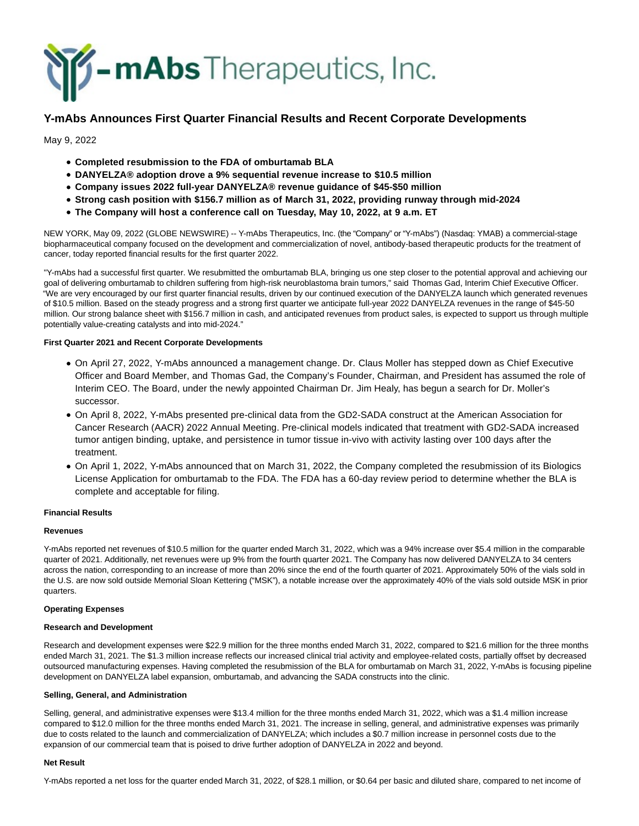

# **Y-mAbs Announces First Quarter Financial Results and Recent Corporate Developments**

May 9, 2022

- **Completed resubmission to the FDA of omburtamab BLA**
- **DANYELZA® adoption drove a 9% sequential revenue increase to \$10.5 million**
- **Company issues 2022 full-year DANYELZA® revenue guidance of \$45-\$50 million**
- **Strong cash position with \$156.7 million as of March 31, 2022, providing runway through mid-2024**
- **The Company will host a conference call on Tuesday, May 10, 2022, at 9 a.m. ET**

NEW YORK, May 09, 2022 (GLOBE NEWSWIRE) -- Y-mAbs Therapeutics, Inc. (the "Company" or "Y-mAbs") (Nasdaq: YMAB) a commercial-stage biopharmaceutical company focused on the development and commercialization of novel, antibody-based therapeutic products for the treatment of cancer, today reported financial results for the first quarter 2022.

"Y-mAbs had a successful first quarter. We resubmitted the omburtamab BLA, bringing us one step closer to the potential approval and achieving our goal of delivering omburtamab to children suffering from high-risk neuroblastoma brain tumors," said Thomas Gad, Interim Chief Executive Officer. "We are very encouraged by our first quarter financial results, driven by our continued execution of the DANYELZA launch which generated revenues of \$10.5 million. Based on the steady progress and a strong first quarter we anticipate full-year 2022 DANYELZA revenues in the range of \$45-50 million. Our strong balance sheet with \$156.7 million in cash, and anticipated revenues from product sales, is expected to support us through multiple potentially value-creating catalysts and into mid-2024."

### **First Quarter 2021 and Recent Corporate Developments**

- On April 27, 2022, Y-mAbs announced a management change. Dr. Claus Moller has stepped down as Chief Executive Officer and Board Member, and Thomas Gad, the Company's Founder, Chairman, and President has assumed the role of Interim CEO. The Board, under the newly appointed Chairman Dr. Jim Healy, has begun a search for Dr. Moller's successor.
- On April 8, 2022, Y-mAbs presented pre-clinical data from the GD2-SADA construct at the American Association for Cancer Research (AACR) 2022 Annual Meeting. Pre-clinical models indicated that treatment with GD2-SADA increased tumor antigen binding, uptake, and persistence in tumor tissue in-vivo with activity lasting over 100 days after the treatment.
- On April 1, 2022, Y-mAbs announced that on March 31, 2022, the Company completed the resubmission of its Biologics License Application for omburtamab to the FDA. The FDA has a 60-day review period to determine whether the BLA is complete and acceptable for filing.

### **Financial Results**

### **Revenues**

Y-mAbs reported net revenues of \$10.5 million for the quarter ended March 31, 2022, which was a 94% increase over \$5.4 million in the comparable quarter of 2021. Additionally, net revenues were up 9% from the fourth quarter 2021. The Company has now delivered DANYELZA to 34 centers across the nation, corresponding to an increase of more than 20% since the end of the fourth quarter of 2021. Approximately 50% of the vials sold in the U.S. are now sold outside Memorial Sloan Kettering ("MSK"), a notable increase over the approximately 40% of the vials sold outside MSK in prior quarters.

### **Operating Expenses**

### **Research and Development**

Research and development expenses were \$22.9 million for the three months ended March 31, 2022, compared to \$21.6 million for the three months ended March 31, 2021. The \$1.3 million increase reflects our increased clinical trial activity and employee-related costs, partially offset by decreased outsourced manufacturing expenses. Having completed the resubmission of the BLA for omburtamab on March 31, 2022, Y-mAbs is focusing pipeline development on DANYELZA label expansion, omburtamab, and advancing the SADA constructs into the clinic.

### **Selling, General, and Administration**

Selling, general, and administrative expenses were \$13.4 million for the three months ended March 31, 2022, which was a \$1.4 million increase compared to \$12.0 million for the three months ended March 31, 2021. The increase in selling, general, and administrative expenses was primarily due to costs related to the launch and commercialization of DANYELZA; which includes a \$0.7 million increase in personnel costs due to the expansion of our commercial team that is poised to drive further adoption of DANYELZA in 2022 and beyond.

### **Net Result**

Y-mAbs reported a net loss for the quarter ended March 31, 2022, of \$28.1 million, or \$0.64 per basic and diluted share, compared to net income of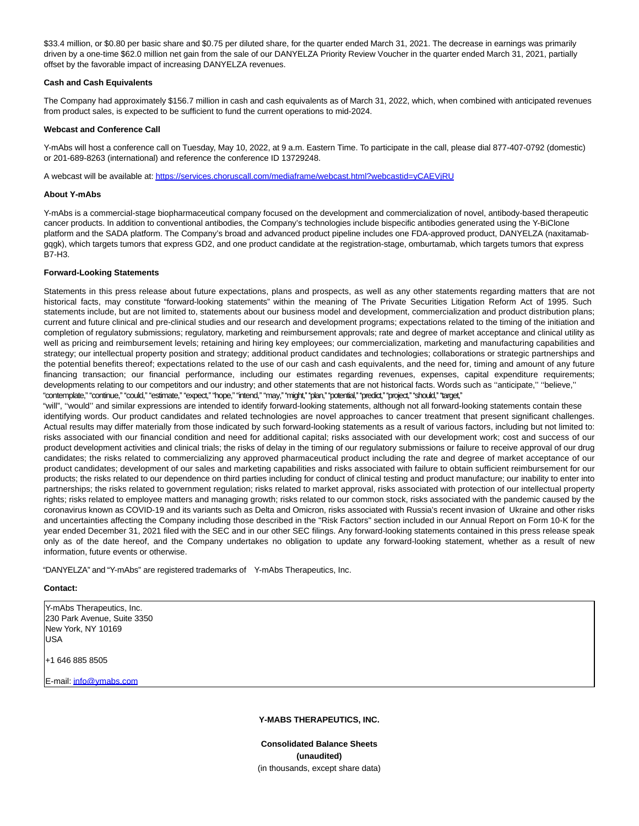\$33.4 million, or \$0.80 per basic share and \$0.75 per diluted share, for the quarter ended March 31, 2021. The decrease in earnings was primarily driven by a one-time \$62.0 million net gain from the sale of our DANYELZA Priority Review Voucher in the quarter ended March 31, 2021, partially offset by the favorable impact of increasing DANYELZA revenues.

#### **Cash and Cash Equivalents**

The Company had approximately \$156.7 million in cash and cash equivalents as of March 31, 2022, which, when combined with anticipated revenues from product sales, is expected to be sufficient to fund the current operations to mid-2024.

#### **Webcast and Conference Call**

Y-mAbs will host a conference call on Tuesday, May 10, 2022, at 9 a.m. Eastern Time. To participate in the call, please dial 877-407-0792 (domestic) or 201-689-8263 (international) and reference the conference ID 13729248.

A webcast will be available at: https://services.choruscall.com/mediaframe/webcast.html?webcastid=yCAEViRU

#### **About Y-mAbs**

Y-mAbs is a commercial-stage biopharmaceutical company focused on the development and commercialization of novel, antibody-based therapeutic cancer products. In addition to conventional antibodies, the Company's technologies include bispecific antibodies generated using the Y-BiClone platform and the SADA platform. The Company's broad and advanced product pipeline includes one FDA-approved product, DANYELZA (naxitamabgqgk), which targets tumors that express GD2, and one product candidate at the registration-stage, omburtamab, which targets tumors that express B7-H3.

#### **Forward-Looking Statements**

Statements in this press release about future expectations, plans and prospects, as well as any other statements regarding matters that are not historical facts, may constitute "forward-looking statements" within the meaning of The Private Securities Litigation Reform Act of 1995. Such statements include, but are not limited to, statements about our business model and development, commercialization and product distribution plans; current and future clinical and pre-clinical studies and our research and development programs; expectations related to the timing of the initiation and completion of regulatory submissions; regulatory, marketing and reimbursement approvals; rate and degree of market acceptance and clinical utility as well as pricing and reimbursement levels; retaining and hiring key employees; our commercialization, marketing and manufacturing capabilities and strategy; our intellectual property position and strategy; additional product candidates and technologies; collaborations or strategic partnerships and the potential benefits thereof; expectations related to the use of our cash and cash equivalents, and the need for, timing and amount of any future financing transaction; our financial performance, including our estimates regarding revenues, expenses, capital expenditure requirements; developments relating to our competitors and our industry; and other statements that are not historical facts. Words such as ''anticipate,'' ''believe,'' "contemplate," ''continue,'' ''could,'' ''estimate,'' ''expect,'' "hope," ''intend,'' ''may,'' ''might,'' ''plan,'' ''potential,'' ''predict,'' ''project,'' ''should,'' ''target,''

"will", ''would'' and similar expressions are intended to identify forward-looking statements, although not all forward-looking statements contain these identifying words. Our product candidates and related technologies are novel approaches to cancer treatment that present significant challenges. Actual results may differ materially from those indicated by such forward-looking statements as a result of various factors, including but not limited to: risks associated with our financial condition and need for additional capital; risks associated with our development work; cost and success of our product development activities and clinical trials; the risks of delay in the timing of our regulatory submissions or failure to receive approval of our drug candidates; the risks related to commercializing any approved pharmaceutical product including the rate and degree of market acceptance of our product candidates; development of our sales and marketing capabilities and risks associated with failure to obtain sufficient reimbursement for our products; the risks related to our dependence on third parties including for conduct of clinical testing and product manufacture; our inability to enter into partnerships; the risks related to government regulation; risks related to market approval, risks associated with protection of our intellectual property rights; risks related to employee matters and managing growth; risks related to our common stock, risks associated with the pandemic caused by the coronavirus known as COVID-19 and its variants such as Delta and Omicron, risks associated with Russia's recent invasion of Ukraine and other risks and uncertainties affecting the Company including those described in the "Risk Factors" section included in our Annual Report on Form 10-K for the year ended December 31, 2021 filed with the SEC and in our other SEC filings. Any forward-looking statements contained in this press release speak only as of the date hereof, and the Company undertakes no obligation to update any forward-looking statement, whether as a result of new information, future events or otherwise.

"DANYELZA" and "Y-mAbs" are registered trademarks of Y-mAbs Therapeutics, Inc.

#### **Contact:**

Y-mAbs Therapeutics, Inc. 230 Park Avenue, Suite 3350 New York, NY 10169 USA

+1 646 885 8505

E-mail[: info@ymabs.com](mailto:info@ymabs.com)

**Y-MABS THERAPEUTICS, INC.**

**Consolidated Balance Sheets (unaudited)** (in thousands, except share data)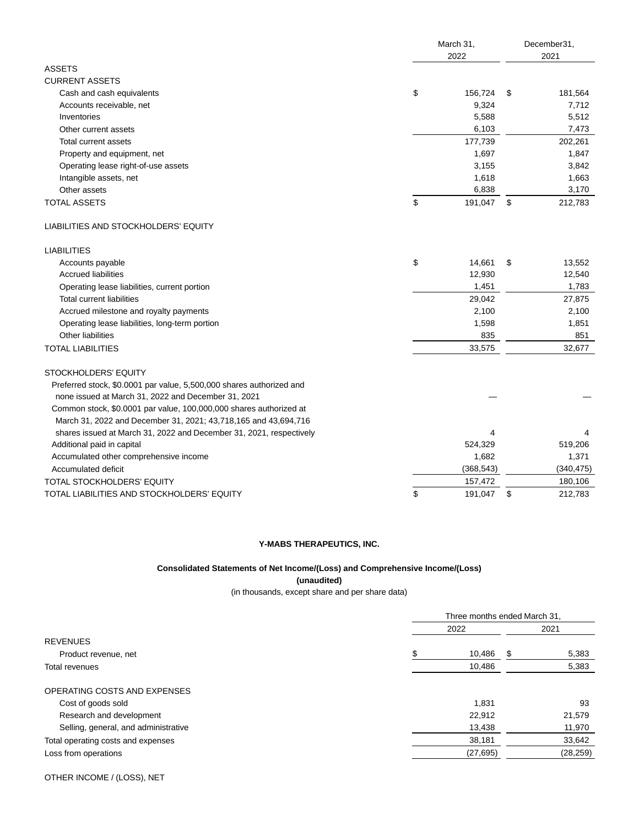|                                                                      | March 31,<br>2022 |            | December31,<br>2021 |            |
|----------------------------------------------------------------------|-------------------|------------|---------------------|------------|
| <b>ASSETS</b>                                                        |                   |            |                     |            |
| <b>CURRENT ASSETS</b>                                                |                   |            |                     |            |
| Cash and cash equivalents                                            | \$                | 156,724    | \$                  | 181,564    |
| Accounts receivable, net                                             |                   | 9,324      |                     | 7,712      |
| Inventories                                                          |                   | 5,588      |                     | 5,512      |
| Other current assets                                                 |                   | 6,103      |                     | 7,473      |
| Total current assets                                                 |                   | 177,739    |                     | 202,261    |
| Property and equipment, net                                          |                   | 1,697      |                     | 1,847      |
| Operating lease right-of-use assets                                  |                   | 3,155      |                     | 3,842      |
| Intangible assets, net                                               |                   | 1,618      |                     | 1,663      |
| Other assets                                                         |                   | 6,838      |                     | 3,170      |
| <b>TOTAL ASSETS</b>                                                  | \$                | 191,047    | \$                  | 212,783    |
| LIABILITIES AND STOCKHOLDERS' EQUITY                                 |                   |            |                     |            |
| <b>LIABILITIES</b>                                                   |                   |            |                     |            |
| Accounts payable                                                     | \$                | 14,661     | \$                  | 13,552     |
| <b>Accrued liabilities</b>                                           |                   | 12,930     |                     | 12,540     |
| Operating lease liabilities, current portion                         |                   | 1,451      |                     | 1,783      |
| <b>Total current liabilities</b>                                     |                   | 29,042     |                     | 27,875     |
| Accrued milestone and royalty payments                               |                   | 2,100      |                     | 2,100      |
| Operating lease liabilities, long-term portion                       |                   | 1,598      |                     | 1,851      |
| <b>Other liabilities</b>                                             |                   | 835        |                     | 851        |
| <b>TOTAL LIABILITIES</b>                                             |                   | 33,575     |                     | 32,677     |
| STOCKHOLDERS' EQUITY                                                 |                   |            |                     |            |
| Preferred stock, \$0.0001 par value, 5,500,000 shares authorized and |                   |            |                     |            |
| none issued at March 31, 2022 and December 31, 2021                  |                   |            |                     |            |
| Common stock, \$0.0001 par value, 100,000,000 shares authorized at   |                   |            |                     |            |
| March 31, 2022 and December 31, 2021; 43,718,165 and 43,694,716      |                   |            |                     |            |
| shares issued at March 31, 2022 and December 31, 2021, respectively  |                   | 4          |                     |            |
| Additional paid in capital                                           |                   | 524,329    |                     | 519,206    |
| Accumulated other comprehensive income                               |                   | 1,682      |                     | 1,371      |
| Accumulated deficit                                                  |                   | (368, 543) |                     | (340, 475) |
| TOTAL STOCKHOLDERS' EQUITY                                           |                   | 157,472    |                     | 180,106    |
| TOTAL LIABILITIES AND STOCKHOLDERS' EQUITY                           | \$                | 191,047    | \$                  | 212,783    |

## **Y-MABS THERAPEUTICS, INC.**

## **Consolidated Statements of Net Income/(Loss) and Comprehensive Income/(Loss)**

## **(unaudited)**

(in thousands, except share and per share data)

|                                      | Three months ended March 31, |           |      |           |
|--------------------------------------|------------------------------|-----------|------|-----------|
|                                      | 2022                         |           | 2021 |           |
| <b>REVENUES</b>                      |                              |           |      |           |
| Product revenue, net                 | ደ                            | 10,486    | S.   | 5,383     |
| Total revenues                       |                              | 10,486    |      | 5,383     |
| OPERATING COSTS AND EXPENSES         |                              |           |      |           |
| Cost of goods sold                   |                              | 1,831     |      | 93        |
| Research and development             |                              | 22.912    |      | 21,579    |
| Selling, general, and administrative |                              | 13,438    |      | 11,970    |
| Total operating costs and expenses   |                              | 38,181    |      | 33,642    |
| Loss from operations                 |                              | (27, 695) |      | (28, 259) |